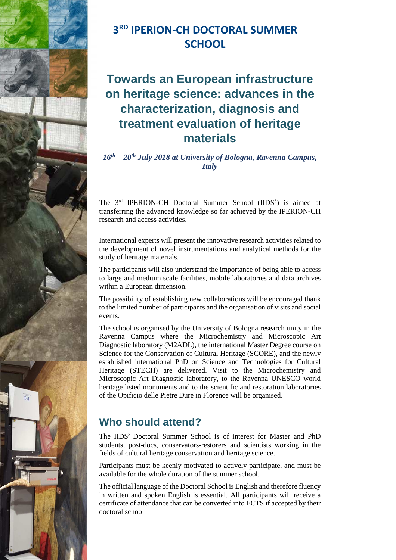

# **3 RD IPERION-CH DOCTORAL SUMMER SCHOOL**

# **Towards an European infrastructure on heritage science: advances in the characterization, diagnosis and treatment evaluation of heritage materials**

*16th – 20th July 2018 at University of Bologna, Ravenna Campus, Italy* 

The 3<sup>rd</sup> IPERION-CH Doctoral Summer School (IIDS<sup>3</sup>) is aimed at transferring the advanced knowledge so far achieved by the IPERION-CH research and access activities.

International experts will present the innovative research activities related to the development of novel instrumentations and analytical methods for the study of heritage materials.

The participants will also understand the importance of being able to access to large and medium scale facilities, mobile laboratories and data archives within a European dimension.

The possibility of establishing new collaborations will be encouraged thank to the limited number of participants and the organisation of visits and social events.

The school is organised by the University of Bologna research unity in the Ravenna Campus where the Microchemistry and Microscopic Art Diagnostic laboratory (M2ADL), the international Master Degree course on Science for the Conservation of Cultural Heritage (SCORE), and the newly established international PhD on Science and Technologies for Cultural Heritage (STECH) are delivered. Visit to the Microchemistry and Microscopic Art Diagnostic laboratory, to the Ravenna UNESCO world heritage listed monuments and to the scientific and restoration laboratories of the Opificio delle Pietre Dure in Florence will be organised.

## **Who should attend?**

The IIDS<sup>3</sup> Doctoral Summer School is of interest for Master and PhD students, post-docs, conservators-restorers and scientists working in the fields of cultural heritage conservation and heritage science.

Participants must be keenly motivated to actively participate, and must be available for the whole duration of the summer school.

The official language of the Doctoral School is English and therefore fluency in written and spoken English is essential. All participants will receive a certificate of attendance that can be converted into ECTS if accepted by their doctoral school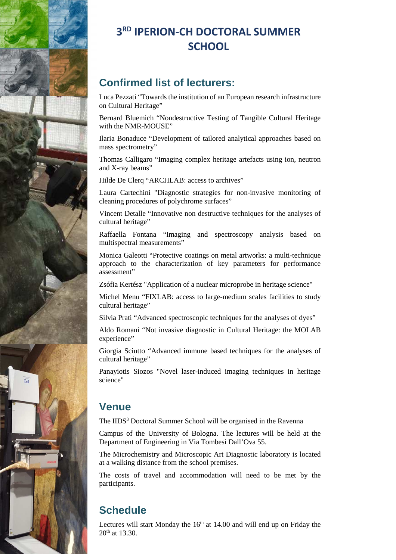

# **3 RD IPERION-CH DOCTORAL SUMMER SCHOOL**

#### **Confirmed list of lecturers:**

Luca Pezzati "Towards the institution of an European research infrastructure on Cultural Heritage"

Bernard Bluemich "Nondestructive Testing of Tangible Cultural Heritage with the NMR-MOUSE"

Ilaria Bonaduce "Development of tailored analytical approaches based on mass spectrometry"

Thomas Calligaro "Imaging complex heritage artefacts using ion, neutron and X-ray beams"

Hilde De Clerq "ARCHLAB: access to archives"

Laura Cartechini "Diagnostic strategies for non-invasive monitoring of cleaning procedures of polychrome surfaces"

Vincent Detalle "Innovative non destructive techniques for the analyses of cultural heritage"

Raffaella Fontana "Imaging and spectroscopy analysis based on multispectral measurements"

Monica Galeotti "Protective coatings on metal artworks: a multi-technique approach to the characterization of key parameters for performance assessment"

Zsófia Kertész "Application of a nuclear microprobe in heritage science"

Michel Menu "FIXLAB: access to large-medium scales facilities to study cultural heritage"

Silvia Prati "Advanced spectroscopic techniques for the analyses of dyes"

Aldo Romani "Not invasive diagnostic in Cultural Heritage: the MOLAB experience"

Giorgia Sciutto "Advanced immune based techniques for the analyses of cultural heritage"

Panayiotis Siozos "Novel laser-induced imaging techniques in heritage science"

#### **Venue**

The IIDS<sup>3</sup> Doctoral Summer School will be organised in the Ravenna

Campus of the University of Bologna. The lectures will be held at the Department of Engineering in Via Tombesi Dall'Ova 55.

The Microchemistry and Microscopic Art Diagnostic laboratory is located at a walking distance from the school premises.

The costs of travel and accommodation will need to be met by the participants.

#### **Schedule**

Lectures will start Monday the  $16<sup>th</sup>$  at 14.00 and will end up on Friday the  $20^{th}$  at 13.30.